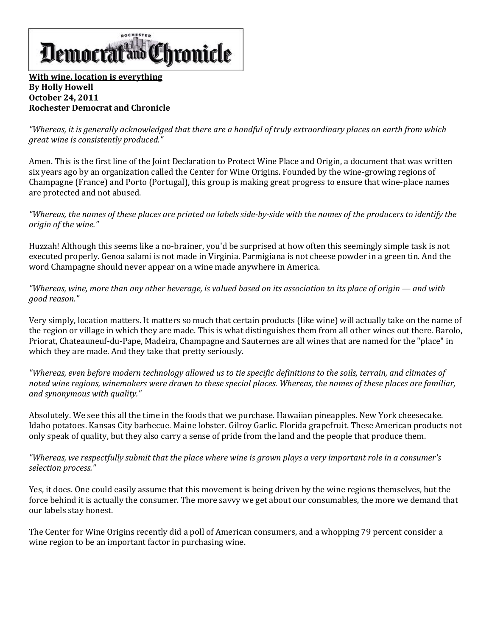

## **[With wine, location is everything](http://www.democratandchronicle.com/article/20111025/LIVING0109/110250301/With-wine-location-everything) By Holly Howell October 24, 2011 Rochester Democrat and Chronicle**

*"Whereas, it is generally acknowledged that there are a handful of truly extraordinary places on earth from which great wine is consistently produced."*

Amen. This is the first line of the Joint Declaration to Protect Wine Place and Origin, a document that was written six years ago by an organization called the Center for Wine Origins. Founded by the wine-growing regions of Champagne (France) and Porto (Portugal), this group is making great progress to ensure that wine-place names are protected and not abused.

*"Whereas, the names of these places are printed on labels side-by-side with the names of the producers to identify the origin of the wine."*

Huzzah! Although this seems like a no-brainer, you'd be surprised at how often this seemingly simple task is not executed properly. Genoa salami is not made in Virginia. Parmigiana is not cheese powder in a green tin. And the word Champagne should never appear on a wine made anywhere in America.

*"Whereas, wine, more than any other beverage, is valued based on its association to its place of origin — and with good reason."*

Very simply, location matters. It matters so much that certain products (like wine) will actually take on the name of the region or village in which they are made. This is what distinguishes them from all other wines out there. Barolo, Priorat, Chateauneuf-du-Pape, Madeira, Champagne and Sauternes are all wines that are named for the "place" in which they are made. And they take that pretty seriously.

*"Whereas, even before modern technology allowed us to tie specific definitions to the soils, terrain, and climates of noted wine regions, winemakers were drawn to these special places. Whereas, the names of these places are familiar, and synonymous with quality."*

Absolutely. We see this all the time in the [foods](http://www.democratandchronicle.com/article/20111025/LIVING0109/110250301) that we purchase. Hawaiian pineapples. New York cheesecake. Idaho potatoes. Kansas City barbecue. Maine lobster. Gilroy Garlic. Florida grapefruit. These American products not only speak of quality, but they also carry a sense of pride from the land and the people that produce them.

*"Whereas, we respectfully submit that the place where wine is grown plays a very important role in a consumer's selection process."*

Yes, it does. One could easily assume that this movement is being driven by the wine regions themselves, but the force behind it is actually the consumer. The more savvy we get about our consumables, the more we demand that our labels stay honest.

The Center for Wine Origins recently did a poll of American consumers, and a whopping 79 percent consider a wine region to be an important factor in purchasing wine.